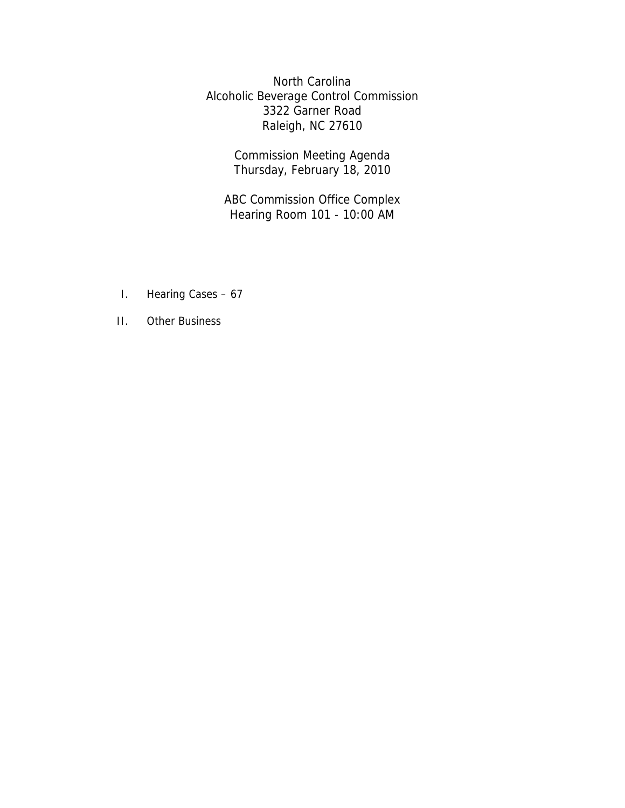North Carolina Alcoholic Beverage Control Commission 3322 Garner Road Raleigh, NC 27610

> Commission Meeting Agenda Thursday, February 18, 2010

ABC Commission Office Complex Hearing Room 101 - 10:00 AM

- I. Hearing Cases 67
- II. Other Business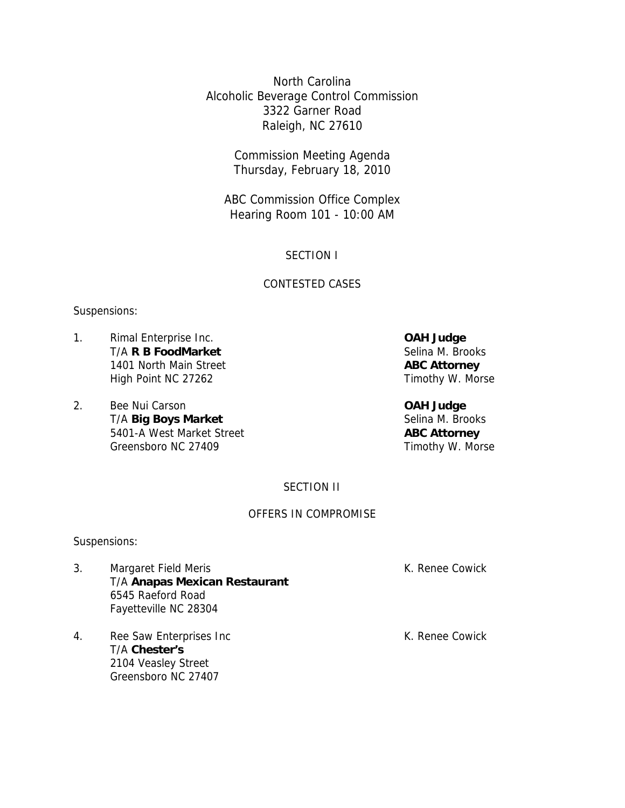North Carolina Alcoholic Beverage Control Commission 3322 Garner Road Raleigh, NC 27610

> Commission Meeting Agenda Thursday, February 18, 2010

ABC Commission Office Complex Hearing Room 101 - 10:00 AM

# SECTION I

# CONTESTED CASES

## Suspensions:

- 1. Rimal Enterprise Inc. **OAH Judge**  T/A **R B FoodMarket** Selina M. Brooks 1401 North Main Street **ABC Attorney** High Point NC 27262 Timothy W. Morse
- 2. Bee Nui Carson **OAH Judge**  T/A **Big Boys Market** Selina M. Brooks 5401-A West Market Street **ABC Attorney**  Greensboro NC 27409 Timothy W. Morse

SECTION II

### OFFERS IN COMPROMISE

### Suspensions:

- 3. Margaret Field Meris **K. Renee Cowick**  T/A **Anapas Mexican Restaurant**  6545 Raeford Road Fayetteville NC 28304
- 4. Ree Saw Enterprises Inc **Reparament Control** K. Renee Cowick T/A **Chester's**  2104 Veasley Street Greensboro NC 27407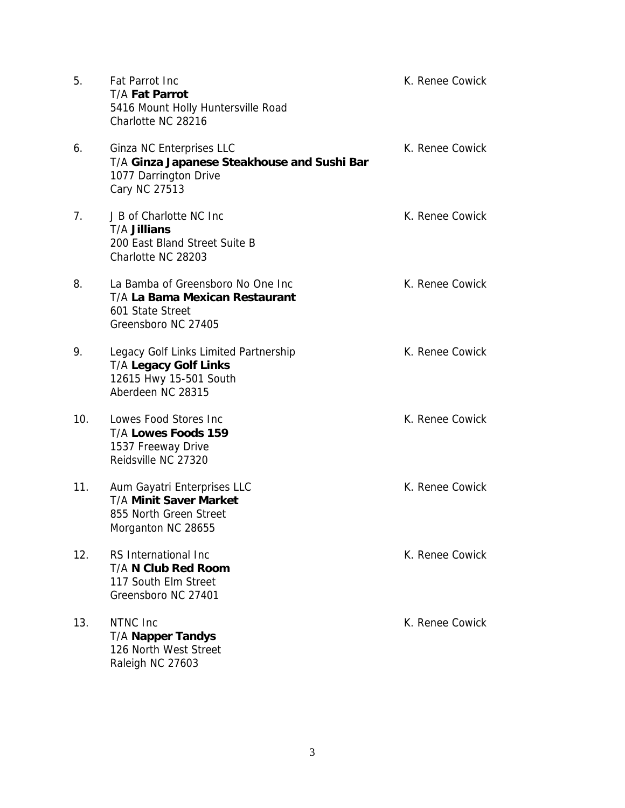| 5.  | Fat Parrot Inc<br><b>T/A Fat Parrot</b><br>5416 Mount Holly Huntersville Road<br>Charlotte NC 28216                  | K. Renee Cowick |
|-----|----------------------------------------------------------------------------------------------------------------------|-----------------|
| 6.  | Ginza NC Enterprises LLC<br>T/A Ginza Japanese Steakhouse and Sushi Bar<br>1077 Darrington Drive<br>Cary NC 27513    | K. Renee Cowick |
| 7.  | J B of Charlotte NC Inc<br><b>T/A Jillians</b><br>200 East Bland Street Suite B<br>Charlotte NC 28203                | K. Renee Cowick |
| 8.  | La Bamba of Greensboro No One Inc<br>T/A La Bama Mexican Restaurant<br>601 State Street<br>Greensboro NC 27405       | K. Renee Cowick |
| 9.  | Legacy Golf Links Limited Partnership<br><b>T/A Legacy Golf Links</b><br>12615 Hwy 15-501 South<br>Aberdeen NC 28315 | K. Renee Cowick |
| 10. | Lowes Food Stores Inc<br>T/A Lowes Foods 159<br>1537 Freeway Drive<br>Reidsville NC 27320                            | K. Renee Cowick |
| 11. | Aum Gayatri Enterprises LLC<br><b>T/A Minit Saver Market</b><br>855 North Green Street<br>Morganton NC 28655         | K. Renee Cowick |
| 12. | RS International Inc<br><b>T/A N Club Red Room</b><br>117 South Elm Street<br>Greensboro NC 27401                    | K. Renee Cowick |
| 13. | NTNC Inc<br><b>T/A Napper Tandys</b><br>126 North West Street<br>Raleigh NC 27603                                    | K. Renee Cowick |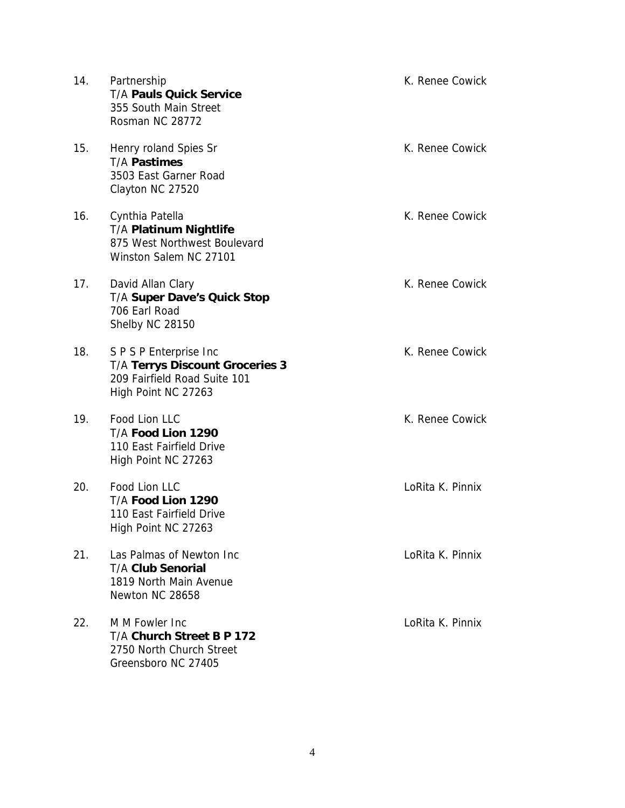| 14. | Partnership<br><b>T/A Pauls Quick Service</b><br>355 South Main Street<br>Rosman NC 28772                               | K. Renee Cowick  |
|-----|-------------------------------------------------------------------------------------------------------------------------|------------------|
| 15. | Henry roland Spies Sr<br><b>T/A Pastimes</b><br>3503 East Garner Road<br>Clayton NC 27520                               | K. Renee Cowick  |
| 16. | Cynthia Patella<br><b>T/A Platinum Nightlife</b><br>875 West Northwest Boulevard<br>Winston Salem NC 27101              | K. Renee Cowick  |
| 17. | David Allan Clary<br><b>T/A Super Dave's Quick Stop</b><br>706 Earl Road<br>Shelby NC 28150                             | K. Renee Cowick  |
| 18. | S P S P Enterprise Inc<br><b>T/A Terrys Discount Groceries 3</b><br>209 Fairfield Road Suite 101<br>High Point NC 27263 | K. Renee Cowick  |
| 19. | Food Lion LLC<br>T/A Food Lion 1290<br>110 East Fairfield Drive<br>High Point NC 27263                                  | K. Renee Cowick  |
| 20. | Food Lion LLC<br>T/A Food Lion 1290<br>110 East Fairfield Drive<br>High Point NC 27263                                  | LoRita K. Pinnix |
| 21. | Las Palmas of Newton Inc<br><b>T/A Club Senorial</b><br>1819 North Main Avenue<br>Newton NC 28658                       | LoRita K. Pinnix |
| 22. | M M Fowler Inc<br>T/A Church Street B P 172<br>2750 North Church Street<br>Greensboro NC 27405                          | LoRita K. Pinnix |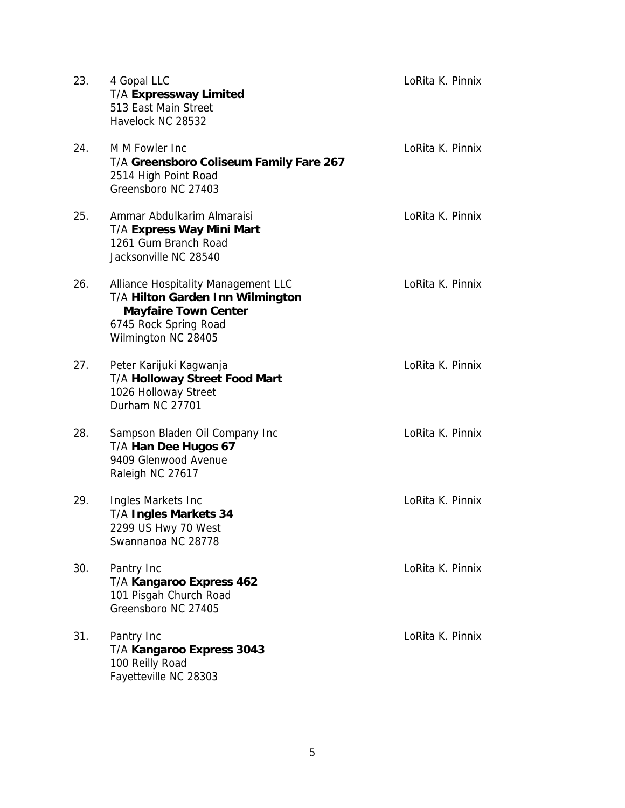| 23. | 4 Gopal LLC<br>T/A Expressway Limited<br>513 East Main Street<br>Havelock NC 28532                                                                     | LoRita K. Pinnix |
|-----|--------------------------------------------------------------------------------------------------------------------------------------------------------|------------------|
| 24. | M M Fowler Inc<br>T/A Greensboro Coliseum Family Fare 267<br>2514 High Point Road<br>Greensboro NC 27403                                               | LoRita K. Pinnix |
| 25. | Ammar Abdulkarim Almaraisi<br>T/A Express Way Mini Mart<br>1261 Gum Branch Road<br>Jacksonville NC 28540                                               | LoRita K. Pinnix |
| 26. | Alliance Hospitality Management LLC<br>T/A Hilton Garden Inn Wilmington<br><b>Mayfaire Town Center</b><br>6745 Rock Spring Road<br>Wilmington NC 28405 | LoRita K. Pinnix |
| 27. | Peter Karijuki Kagwanja<br><b>T/A Holloway Street Food Mart</b><br>1026 Holloway Street<br>Durham NC 27701                                             | LoRita K. Pinnix |
| 28. | Sampson Bladen Oil Company Inc<br>T/A Han Dee Hugos 67<br>9409 Glenwood Avenue<br>Raleigh NC 27617                                                     | LoRita K. Pinnix |
| 29. | Ingles Markets Inc<br>T/A Ingles Markets 34<br>2299 US Hwy 70 West<br>Swannanoa NC 28778                                                               | LoRita K. Pinnix |
| 30. | Pantry Inc<br>T/A Kangaroo Express 462<br>101 Pisgah Church Road<br>Greensboro NC 27405                                                                | LoRita K. Pinnix |
| 31. | Pantry Inc<br>T/A Kangaroo Express 3043<br>100 Reilly Road<br>Fayetteville NC 28303                                                                    | LoRita K. Pinnix |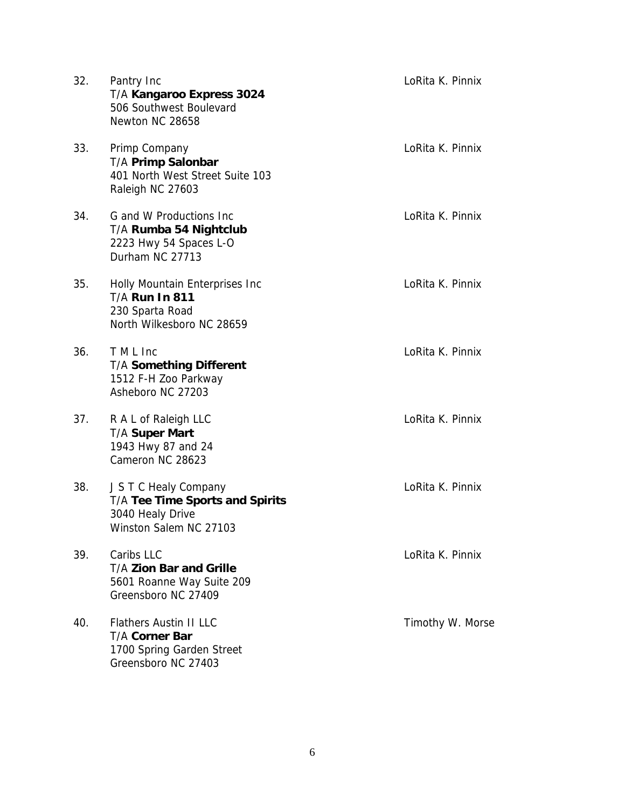| 32. | Pantry Inc<br>T/A Kangaroo Express 3024<br>506 Southwest Boulevard<br>Newton NC 28658                         | LoRita K. Pinnix |
|-----|---------------------------------------------------------------------------------------------------------------|------------------|
| 33. | Primp Company<br>T/A Primp Salonbar<br>401 North West Street Suite 103<br>Raleigh NC 27603                    | LoRita K. Pinnix |
| 34. | G and W Productions Inc<br>T/A Rumba 54 Nightclub<br>2223 Hwy 54 Spaces L-O<br>Durham NC 27713                | LoRita K. Pinnix |
| 35. | Holly Mountain Enterprises Inc<br><b>T/A Run In 811</b><br>230 Sparta Road<br>North Wilkesboro NC 28659       | LoRita K. Pinnix |
| 36. | T M L Inc<br><b>T/A Something Different</b><br>1512 F-H Zoo Parkway<br>Asheboro NC 27203                      | LoRita K. Pinnix |
| 37. | R A L of Raleigh LLC<br><b>T/A Super Mart</b><br>1943 Hwy 87 and 24<br>Cameron NC 28623                       | LoRita K. Pinnix |
| 38. | J S T C Healy Company<br><b>T/A Tee Time Sports and Spirits</b><br>3040 Healy Drive<br>Winston Salem NC 27103 | LoRita K. Pinnix |
| 39. | Caribs LLC<br><b>T/A Zion Bar and Grille</b><br>5601 Roanne Way Suite 209<br>Greensboro NC 27409              | LoRita K. Pinnix |
| 40. | <b>Flathers Austin II LLC</b><br><b>T/A Corner Bar</b><br>1700 Spring Garden Street<br>Greensboro NC 27403    | Timothy W. Morse |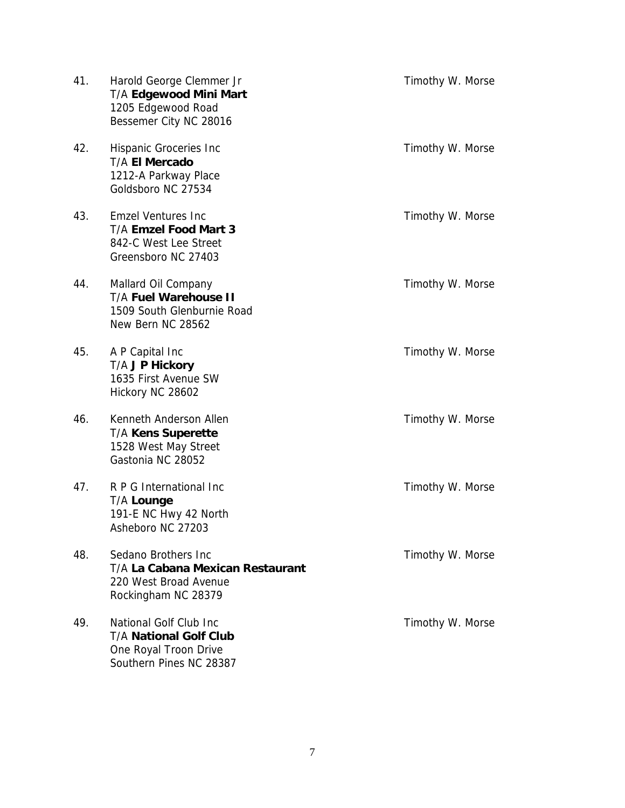| 41. | Harold George Clemmer Jr<br>T/A Edgewood Mini Mart<br>1205 Edgewood Road<br>Bessemer City NC 28016          | Timothy W. Morse |
|-----|-------------------------------------------------------------------------------------------------------------|------------------|
| 42. | Hispanic Groceries Inc<br>T/A El Mercado<br>1212-A Parkway Place<br>Goldsboro NC 27534                      | Timothy W. Morse |
| 43. | <b>Emzel Ventures Inc</b><br><b>T/A Emzel Food Mart 3</b><br>842-C West Lee Street<br>Greensboro NC 27403   | Timothy W. Morse |
| 44. | Mallard Oil Company<br><b>T/A Fuel Warehouse II</b><br>1509 South Glenburnie Road<br>New Bern NC 28562      | Timothy W. Morse |
| 45. | A P Capital Inc<br>T/A J P Hickory<br>1635 First Avenue SW<br>Hickory NC 28602                              | Timothy W. Morse |
| 46. | Kenneth Anderson Allen<br><b>T/A Kens Superette</b><br>1528 West May Street<br>Gastonia NC 28052            | Timothy W. Morse |
| 47. | R P G International Inc<br><b>T/A Lounge</b><br>191-E NC Hwy 42 North<br>Asheboro NC 27203                  | Timothy W. Morse |
| 48. | Sedano Brothers Inc<br>T/A La Cabana Mexican Restaurant<br>220 West Broad Avenue<br>Rockingham NC 28379     | Timothy W. Morse |
| 49. | National Golf Club Inc<br><b>T/A National Golf Club</b><br>One Royal Troon Drive<br>Southern Pines NC 28387 | Timothy W. Morse |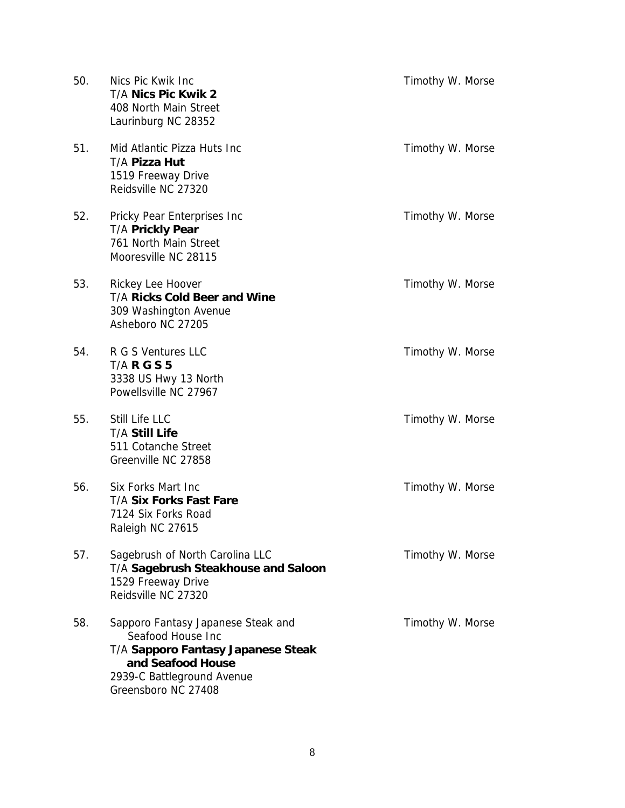| 50. | Nics Pic Kwik Inc<br>T/A Nics Pic Kwik 2<br>408 North Main Street<br>Laurinburg NC 28352                                                                                | Timothy W. Morse |
|-----|-------------------------------------------------------------------------------------------------------------------------------------------------------------------------|------------------|
| 51. | Mid Atlantic Pizza Huts Inc<br>T/A Pizza Hut<br>1519 Freeway Drive<br>Reidsville NC 27320                                                                               | Timothy W. Morse |
| 52. | Pricky Pear Enterprises Inc<br><b>T/A Prickly Pear</b><br>761 North Main Street<br>Mooresville NC 28115                                                                 | Timothy W. Morse |
| 53. | Rickey Lee Hoover<br><b>T/A Ricks Cold Beer and Wine</b><br>309 Washington Avenue<br>Asheboro NC 27205                                                                  | Timothy W. Morse |
| 54. | R G S Ventures LLC<br><b>T/A R G S 5</b><br>3338 US Hwy 13 North<br>Powellsville NC 27967                                                                               | Timothy W. Morse |
| 55. | Still Life LLC<br><b>T/A Still Life</b><br>511 Cotanche Street<br>Greenville NC 27858                                                                                   | Timothy W. Morse |
| 56. | Six Forks Mart Inc<br><b>T/A Six Forks Fast Fare</b><br>7124 Six Forks Road<br>Raleigh NC 27615                                                                         | Timothy W. Morse |
| 57. | Sagebrush of North Carolina LLC<br>T/A Sagebrush Steakhouse and Saloon<br>1529 Freeway Drive<br>Reidsville NC 27320                                                     | Timothy W. Morse |
| 58. | Sapporo Fantasy Japanese Steak and<br>Seafood House Inc<br>T/A Sapporo Fantasy Japanese Steak<br>and Seafood House<br>2939-C Battleground Avenue<br>Greensboro NC 27408 | Timothy W. Morse |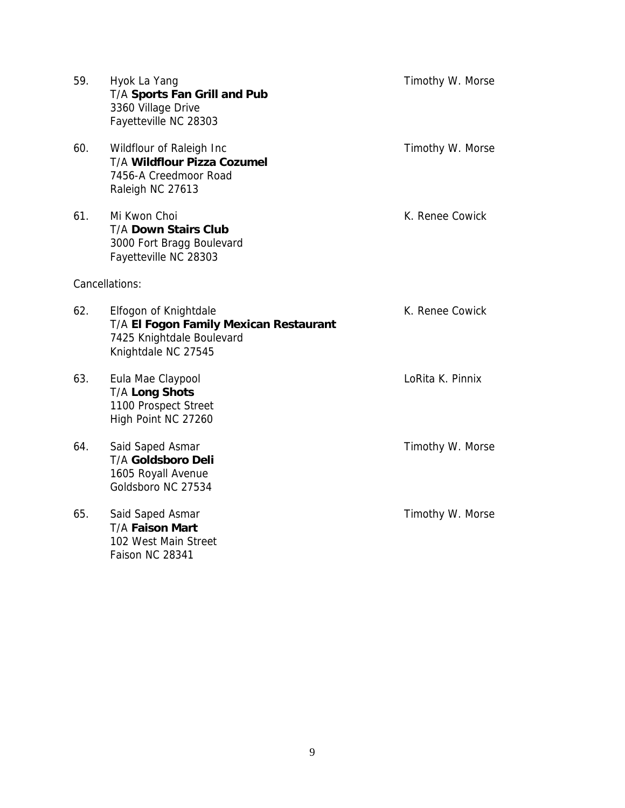| 59.            | Hyok La Yang<br>T/A Sports Fan Grill and Pub<br>3360 Village Drive<br>Fayetteville NC 28303                         | Timothy W. Morse |
|----------------|---------------------------------------------------------------------------------------------------------------------|------------------|
| 60.            | Wildflour of Raleigh Inc<br>T/A Wildflour Pizza Cozumel<br>7456-A Creedmoor Road<br>Raleigh NC 27613                | Timothy W. Morse |
| 61.            | Mi Kwon Choi<br><b>T/A Down Stairs Club</b><br>3000 Fort Bragg Boulevard<br>Fayetteville NC 28303                   | K. Renee Cowick  |
| Cancellations: |                                                                                                                     |                  |
| 62.            | Elfogon of Knightdale<br>T/A El Fogon Family Mexican Restaurant<br>7425 Knightdale Boulevard<br>Knightdale NC 27545 | K. Renee Cowick  |
| 63.            | Eula Mae Claypool<br>T/A Long Shots<br>1100 Prospect Street<br>High Point NC 27260                                  | LoRita K. Pinnix |
| 64.            | Said Saped Asmar<br><b>T/A Goldsboro Deli</b><br>1605 Royall Avenue<br>Goldsboro NC 27534                           | Timothy W. Morse |
| 65.            | Said Saped Asmar<br><b>T/A Faison Mart</b><br>102 West Main Street<br>Faison NC 28341                               | Timothy W. Morse |